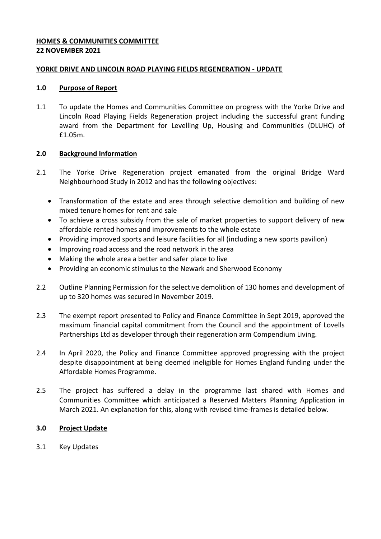## **HOMES & COMMUNITIES COMMITTEE 22 NOVEMBER 2021**

#### **YORKE DRIVE AND LINCOLN ROAD PLAYING FIELDS REGENERATION - UPDATE**

#### **1.0 Purpose of Report**

1.1 To update the Homes and Communities Committee on progress with the Yorke Drive and Lincoln Road Playing Fields Regeneration project including the successful grant funding award from the Department for Levelling Up, Housing and Communities (DLUHC) of £1.05m.

# **2.0 Background Information**

- 2.1 The Yorke Drive Regeneration project emanated from the original Bridge Ward Neighbourhood Study in 2012 and has the following objectives:
	- Transformation of the estate and area through selective demolition and building of new mixed tenure homes for rent and sale
	- To achieve a cross subsidy from the sale of market properties to support delivery of new affordable rented homes and improvements to the whole estate
	- Providing improved sports and leisure facilities for all (including a new sports pavilion)
	- Improving road access and the road network in the area
	- Making the whole area a better and safer place to live
	- Providing an economic stimulus to the Newark and Sherwood Economy
- 2.2 Outline Planning Permission for the selective demolition of 130 homes and development of up to 320 homes was secured in November 2019.
- 2.3 The exempt report presented to Policy and Finance Committee in Sept 2019, approved the maximum financial capital commitment from the Council and the appointment of Lovells Partnerships Ltd as developer through their regeneration arm Compendium Living.
- 2.4 In April 2020, the Policy and Finance Committee approved progressing with the project despite disappointment at being deemed ineligible for Homes England funding under the Affordable Homes Programme.
- 2.5 The project has suffered a delay in the programme last shared with Homes and Communities Committee which anticipated a Reserved Matters Planning Application in March 2021. An explanation for this, along with revised time-frames is detailed below.

# **3.0 Project Update**

3.1 Key Updates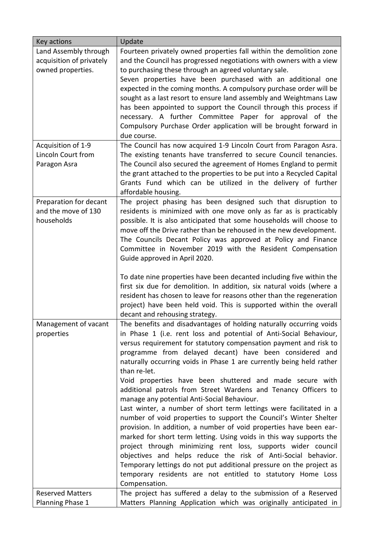| Key actions              | Update                                                                                                                       |
|--------------------------|------------------------------------------------------------------------------------------------------------------------------|
| Land Assembly through    | Fourteen privately owned properties fall within the demolition zone                                                          |
| acquisition of privately | and the Council has progressed negotiations with owners with a view                                                          |
| owned properties.        | to purchasing these through an agreed voluntary sale.                                                                        |
|                          | Seven properties have been purchased with an additional one                                                                  |
|                          | expected in the coming months. A compulsory purchase order will be                                                           |
|                          | sought as a last resort to ensure land assembly and Weightmans Law                                                           |
|                          | has been appointed to support the Council through this process if                                                            |
|                          | necessary. A further Committee Paper for approval of the<br>Compulsory Purchase Order application will be brought forward in |
|                          | due course.                                                                                                                  |
| Acquisition of 1-9       | The Council has now acquired 1-9 Lincoln Court from Paragon Asra.                                                            |
| Lincoln Court from       | The existing tenants have transferred to secure Council tenancies.                                                           |
| Paragon Asra             | The Council also secured the agreement of Homes England to permit                                                            |
|                          | the grant attached to the properties to be put into a Recycled Capital                                                       |
|                          | Grants Fund which can be utilized in the delivery of further                                                                 |
|                          | affordable housing.                                                                                                          |
| Preparation for decant   | The project phasing has been designed such that disruption to                                                                |
| and the move of 130      | residents is minimized with one move only as far as is practicably                                                           |
| households               | possible. It is also anticipated that some households will choose to                                                         |
|                          | move off the Drive rather than be rehoused in the new development.                                                           |
|                          | The Councils Decant Policy was approved at Policy and Finance                                                                |
|                          | Committee in November 2019 with the Resident Compensation                                                                    |
|                          | Guide approved in April 2020.                                                                                                |
|                          | To date nine properties have been decanted including five within the                                                         |
|                          | first six due for demolition. In addition, six natural voids (where a                                                        |
|                          | resident has chosen to leave for reasons other than the regeneration                                                         |
|                          | project) have been held void. This is supported within the overall                                                           |
|                          | decant and rehousing strategy.                                                                                               |
| Management of vacant     | The benefits and disadvantages of holding naturally occurring voids                                                          |
| properties               | in Phase 1 (i.e. rent loss and potential of Anti-Social Behaviour,                                                           |
|                          | versus requirement for statutory compensation payment and risk to                                                            |
|                          | programme from delayed decant) have been considered and                                                                      |
|                          | naturally occurring voids in Phase 1 are currently being held rather                                                         |
|                          | than re-let.                                                                                                                 |
|                          | Void properties have been shuttered and made secure with                                                                     |
|                          | additional patrols from Street Wardens and Tenancy Officers to<br>manage any potential Anti-Social Behaviour.                |
|                          | Last winter, a number of short term lettings were facilitated in a                                                           |
|                          | number of void properties to support the Council's Winter Shelter                                                            |
|                          | provision. In addition, a number of void properties have been ear-                                                           |
|                          | marked for short term letting. Using voids in this way supports the                                                          |
|                          | project through minimizing rent loss, supports wider council                                                                 |
|                          | objectives and helps reduce the risk of Anti-Social behavior.                                                                |
|                          | Temporary lettings do not put additional pressure on the project as                                                          |
|                          | temporary residents are not entitled to statutory Home Loss                                                                  |
|                          | Compensation.                                                                                                                |
| <b>Reserved Matters</b>  | The project has suffered a delay to the submission of a Reserved                                                             |
| Planning Phase 1         | Matters Planning Application which was originally anticipated in                                                             |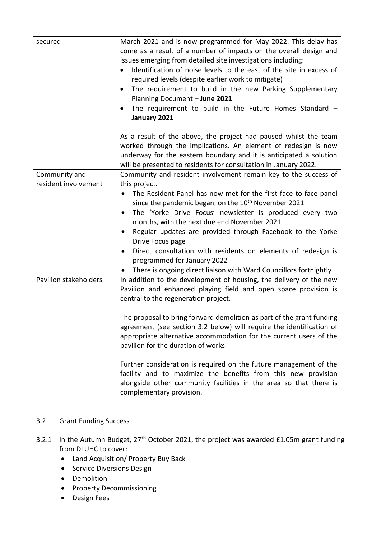| secured               | March 2021 and is now programmed for May 2022. This delay has<br>come as a result of a number of impacts on the overall design and<br>issues emerging from detailed site investigations including:<br>Identification of noise levels to the east of the site in excess of<br>required levels (despite earlier work to mitigate)<br>The requirement to build in the new Parking Supplementary<br>Planning Document - June 2021<br>The requirement to build in the Future Homes Standard $-$<br>January 2021 |
|-----------------------|------------------------------------------------------------------------------------------------------------------------------------------------------------------------------------------------------------------------------------------------------------------------------------------------------------------------------------------------------------------------------------------------------------------------------------------------------------------------------------------------------------|
|                       | As a result of the above, the project had paused whilst the team<br>worked through the implications. An element of redesign is now<br>underway for the eastern boundary and it is anticipated a solution<br>will be presented to residents for consultation in January 2022.                                                                                                                                                                                                                               |
| Community and         | Community and resident involvement remain key to the success of                                                                                                                                                                                                                                                                                                                                                                                                                                            |
| resident involvement  | this project.                                                                                                                                                                                                                                                                                                                                                                                                                                                                                              |
|                       | The Resident Panel has now met for the first face to face panel<br>since the pandemic began, on the 10 <sup>th</sup> November 2021                                                                                                                                                                                                                                                                                                                                                                         |
|                       | The 'Yorke Drive Focus' newsletter is produced every two                                                                                                                                                                                                                                                                                                                                                                                                                                                   |
|                       | months, with the next due end November 2021                                                                                                                                                                                                                                                                                                                                                                                                                                                                |
|                       | Regular updates are provided through Facebook to the Yorke<br>Drive Focus page                                                                                                                                                                                                                                                                                                                                                                                                                             |
|                       | Direct consultation with residents on elements of redesign is<br>programmed for January 2022                                                                                                                                                                                                                                                                                                                                                                                                               |
|                       | There is ongoing direct liaison with Ward Councillors fortnightly                                                                                                                                                                                                                                                                                                                                                                                                                                          |
| Pavilion stakeholders | In addition to the development of housing, the delivery of the new<br>Pavilion and enhanced playing field and open space provision is<br>central to the regeneration project.                                                                                                                                                                                                                                                                                                                              |
|                       | The proposal to bring forward demolition as part of the grant funding                                                                                                                                                                                                                                                                                                                                                                                                                                      |
|                       | agreement (see section 3.2 below) will require the identification of                                                                                                                                                                                                                                                                                                                                                                                                                                       |
|                       | appropriate alternative accommodation for the current users of the<br>pavilion for the duration of works.                                                                                                                                                                                                                                                                                                                                                                                                  |
|                       | Further consideration is required on the future management of the                                                                                                                                                                                                                                                                                                                                                                                                                                          |
|                       | facility and to maximize the benefits from this new provision                                                                                                                                                                                                                                                                                                                                                                                                                                              |
|                       | alongside other community facilities in the area so that there is                                                                                                                                                                                                                                                                                                                                                                                                                                          |
|                       | complementary provision.                                                                                                                                                                                                                                                                                                                                                                                                                                                                                   |

# 3.2 Grant Funding Success

- 3.2.1 In the Autumn Budget, 27<sup>th</sup> October 2021, the project was awarded £1.05m grant funding from DLUHC to cover:
	- Land Acquisition/ Property Buy Back
	- Service Diversions Design
	- Demolition
	- Property Decommissioning
	- **•** Design Fees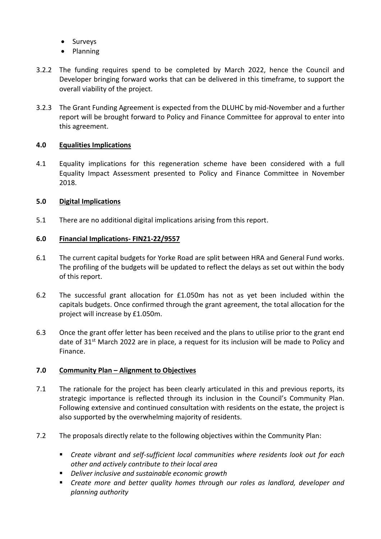- Surveys
- Planning
- 3.2.2 The funding requires spend to be completed by March 2022, hence the Council and Developer bringing forward works that can be delivered in this timeframe, to support the overall viability of the project.
- 3.2.3 The Grant Funding Agreement is expected from the DLUHC by mid-November and a further report will be brought forward to Policy and Finance Committee for approval to enter into this agreement.

## **4.0 Equalities Implications**

4.1 Equality implications for this regeneration scheme have been considered with a full Equality Impact Assessment presented to Policy and Finance Committee in November 2018.

## **5.0 Digital Implications**

5.1 There are no additional digital implications arising from this report.

## **6.0 Financial Implications- FIN21-22/9557**

- 6.1 The current capital budgets for Yorke Road are split between HRA and General Fund works. The profiling of the budgets will be updated to reflect the delays as set out within the body of this report.
- 6.2 The successful grant allocation for £1.050m has not as yet been included within the capitals budgets. Once confirmed through the grant agreement, the total allocation for the project will increase by £1.050m.
- 6.3 Once the grant offer letter has been received and the plans to utilise prior to the grant end date of  $31<sup>st</sup>$  March 2022 are in place, a request for its inclusion will be made to Policy and Finance.

#### **7.0 Community Plan – Alignment to Objectives**

- 7.1 The rationale for the project has been clearly articulated in this and previous reports, its strategic importance is reflected through its inclusion in the Council's Community Plan. Following extensive and continued consultation with residents on the estate, the project is also supported by the overwhelming majority of residents.
- 7.2 The proposals directly relate to the following objectives within the Community Plan:
	- *Create vibrant and self-sufficient local communities where residents look out for each other and actively contribute to their local area*
	- *Deliver inclusive and sustainable economic growth*
	- *Create more and better quality homes through our roles as landlord, developer and planning authority*